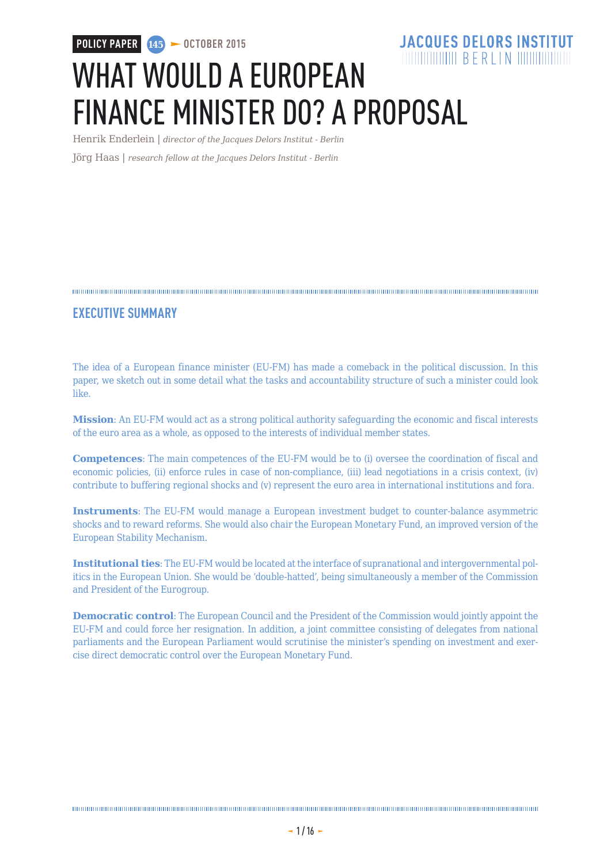**POLICY PAPER 145 > OCTOBER 2015** 

### **JACQUES DELORS INSTITUT**  $\frac{1}{2}$  THE THE TELL THE REAL PROPERTY NAMED IN THE TELL THE TELL THE TELL THE TELL THE TELL THE TELL THE TELL THE TELL THE TELL THE TELL THE TELL THE TELL THE TELL THE TELL THE TELL THE TELL THE TELL THE TELL THE TELL

# WHAT WOULD A EUROPEAN FINANCE MINISTER DO? A PROPOSAL

Henrik Enderlein | *director of the Jacques Delors Institut - Berlin*

Jörg Haas | *research fellow at the Jacques Delors Institut - Berlin*

### 

### **EXECUTIVE SUMMARY**

The idea of a European finance minister (EU-FM) has made a comeback in the political discussion. In this paper, we sketch out in some detail what the tasks and accountability structure of such a minister could look like.

**Mission**: An EU-FM would act as a strong political authority safeguarding the economic and fiscal interests of the euro area as a whole, as opposed to the interests of individual member states.

**Competences**: The main competences of the EU-FM would be to (i) oversee the coordination of fiscal and economic policies, (ii) enforce rules in case of non-compliance, (iii) lead negotiations in a crisis context, (iv) contribute to buffering regional shocks and (v) represent the euro area in international institutions and fora.

**Instruments**: The EU-FM would manage a European investment budget to counter-balance asymmetric shocks and to reward reforms. She would also chair the European Monetary Fund, an improved version of the European Stability Mechanism.

**Institutional ties**: The EU-FM would be located at the interface of supranational and intergovernmental politics in the European Union. She would be 'double-hatted', being simultaneously a member of the Commission and President of the Eurogroup.

**Democratic control**: The European Council and the President of the Commission would jointly appoint the EU-FM and could force her resignation. In addition, a joint committee consisting of delegates from national parliaments and the European Parliament would scrutinise the minister's spending on investment and exercise direct democratic control over the European Monetary Fund.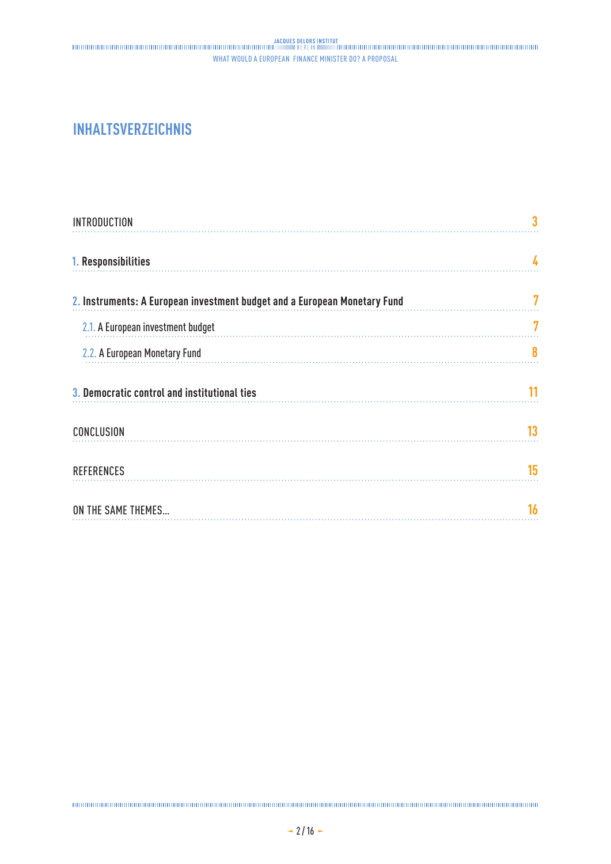### **INHALTSVERZEICHNIS**

| <b>INTRODUCTION</b>                                                       |    |
|---------------------------------------------------------------------------|----|
| 1. Responsibilities                                                       | 4  |
| 2. Instruments: A European investment budget and a European Monetary Fund |    |
| 2.1. A European investment budget                                         | 7  |
| 2.2. A European Monetary Fund                                             | 8  |
| 3. Democratic control and institutional ties                              | 11 |
| CONCLUSION                                                                | 13 |
| <b>REFERENCES</b>                                                         | 15 |
| ON THE SAME THEMES                                                        | 16 |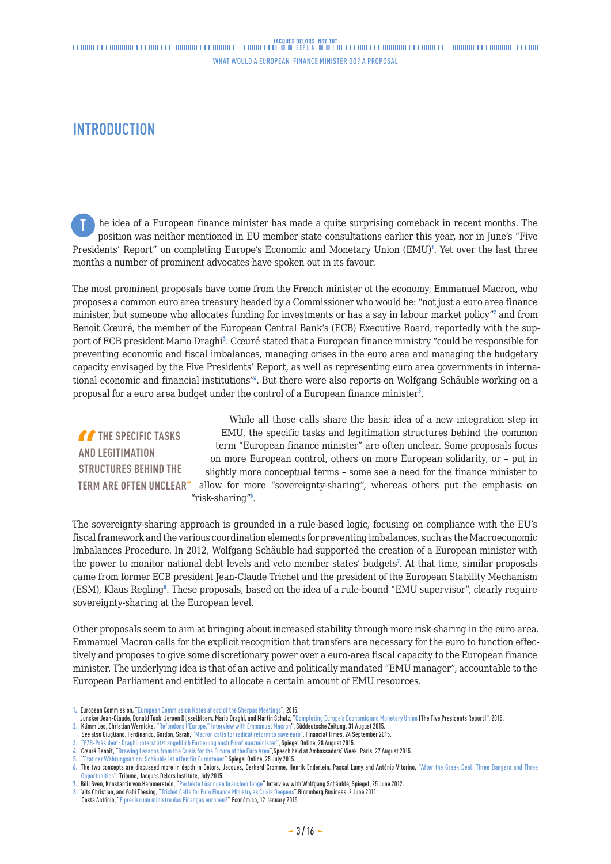### <span id="page-2-0"></span>**INTRODUCTION**

he idea of a European finance minister has made a quite surprising comeback in recent months. The position was neither mentioned in EU member state consultations earlier this year, nor in June's "Five Presidents' Report" on completing Europe's Economic and Monetary Union (EMU)<sup>1</sup>. Yet over the last three months a number of prominent advocates have spoken out in its favour. T

The most prominent proposals have come from the French minister of the economy, Emmanuel Macron, who proposes a common euro area treasury headed by a Commissioner who would be: "not just a euro area finance minister, but someone who allocates funding for investments or has a say in labour market policy"<sup>2</sup> and from Benoît Cœuré, the member of the European Central Bank's (ECB) Executive Board, reportedly with the support of ECB president Mario Draghi<sup>3</sup> . Cœuré stated that a European finance ministry "could be responsible for preventing economic and fiscal imbalances, managing crises in the euro area and managing the budgetary capacity envisaged by the Five Presidents' Report, as well as representing euro area governments in international economic and financial institutions<sup>"4</sup>. But there were also reports on Wolfgang Schäuble working on a proposal for a euro area budget under the control of a European finance minister<sup>5</sup>.

*THE SPECIFIC TASKS* **AND LEGITIMATION STRUCTURES BEHIND THE** 

**TERM ARE OFTEN UNCLEAR"** allow for more "sovereignty-sharing", whereas others put the emphasis on While all those calls share the basic idea of a new integration step in EMU, the specific tasks and legitimation structures behind the common term "European finance minister" are often unclear. Some proposals focus on more European control, others on more European solidarity, or – put in slightly more conceptual terms – some see a need for the finance minister to "risk-sharing"<sup>6</sup>.

The sovereignty-sharing approach is grounded in a rule-based logic, focusing on compliance with the EU's fiscal framework and the various coordination elements for preventing imbalances, such as the Macroeconomic Imbalances Procedure. In 2012, Wolfgang Schäuble had supported the creation of a European minister with the power to monitor national debt levels and veto member states' budgets<sup>7</sup>. At that time, similar proposals came from former ECB president Jean-Claude Trichet and the president of the European Stability Mechanism (ESM), Klaus Regling<sup>8</sup>. These proposals, based on the idea of a rule-bound "EMU supervisor", clearly require sovereignty-sharing at the European level.

Other proposals seem to aim at bringing about increased stability through more risk-sharing in the euro area. Emmanuel Macron calls for the explicit recognition that transfers are necessary for the euro to function effectively and proposes to give some discretionary power over a euro-area fiscal capacity to the European finance minister. The underlying idea is that of an active and politically mandated "EMU manager", accountable to the European Parliament and entitled to allocate a certain amount of EMU resources.

**<sup>1.</sup>** European Commission, "European Commission Notes ahead of the Sherpas Meetings", 2015.

JunckerJean-Claude, Donald Tusk, Jeroen Dijsselbloem, Mario Draghi, and Martin Schulz, "[Completing Europe's Economic and Monetary Union]( http://ec.europa.eu/priorities/economic-monetary-union/docs/5-presidents-report_en.pdf) [The Five Presidents Report]", 2015.

<sup>2.</sup> Klimm Leo, Christian Wernicke, "[Refondons l'Europe," Interview with Emmanuel Macron"](http://international.sueddeutsche.de/post/128026249890/refondons-leurope), Süddeutsche Zeitung, 31 August 2015.<br>See also Giugliano, Ferdinando, Gordon, Sarah, ["Macron calls for radical reform to save euro"](http://on.ft.com/1G4SGWz ), F

**<sup>3.</sup>** "[EZB-Präsident: Draghi unterstützt angeblich Forderung nach Eurofinanzminister](http://www.spiegel.de/wirtschaft/soziales/eurozone-ezb-chef-mario-draghi-fordert-angeblich-euro-finanzminister-a-1050274.html)", Spiegel Online, 28 August 2015.

**<sup>4.</sup>** Cœuré Benoît, ["Drawing Lessons from the Crisis for the Future of the Euro Area",](https://www.ecb.europa.eu/press/key/date/2015/html/sp150827.en.html )Speech held at Ambassadors' Week, Paris, 27 August 2015.

**<sup>5.</sup>** ["Etat der Währungsunion: Schäuble ist offen für Eurosteuer"](http://www.spiegel.de/wirtschaft/soziales/eurozone-soll-finanzminister-und-eurosteuer-bekommen-a-1045206.html) Spiegel Online, 25 July 2015.

**<sup>6.</sup>** The two concepts are discussed more in depth in Delors, Jacques, Gerhard Cromme, Henrik Enderlein, Pascal Lamy and António Vitorino, ["After the Greek Deal: Three Dangers and Three](http://www.delorsinstitute.eu/011-21781-Apres-l-accord-grec-trois-risques-et-trois-opportunitesl-imperieuse-necessite-de-parachever-l-UEM.html) [Opportunities](http://www.delorsinstitute.eu/011-21781-Apres-l-accord-grec-trois-risques-et-trois-opportunitesl-imperieuse-necessite-de-parachever-l-UEM.html)", Tribune, Jacques Delors Institute, July 2015.

**<sup>7.</sup>** Böll Sven, Konstantin von Hammerstein, "[Perfekte Lösungen brauchen lange](http://www.bloomberg.com/news/articles/2011-06-02/trichet-proposes-euro-area-finance-ministry-to-coordinate-fiscal-policies)" [Interview with Wolfgang Schäuble](http://www.spiegel.de/spiegel/finanzminister-schaeuble-ueber-die-geburtsfehler-des-euro-a-840867.html), Spiegel, 25 June 2012.

**<sup>8.</sup>** Vits Christian, and Gabi Thesing, ["Trichet Calls for Euro Finance Ministry as Crisis Deepens"](http://www.bloomberg.com/news/articles/2011-06-02/trichet-proposes-euro-area-finance-ministry-to-coordinate-fiscal-policies) Bloomberg Business, 2 June 2011.

Costa António, "[É preciso um ministro das Finanças europeu?]( http://economico.sapo.pt/noticias/e-preciso-um-ministro-das-financas-europeu_209679.html)" Económico, 12 January 2015.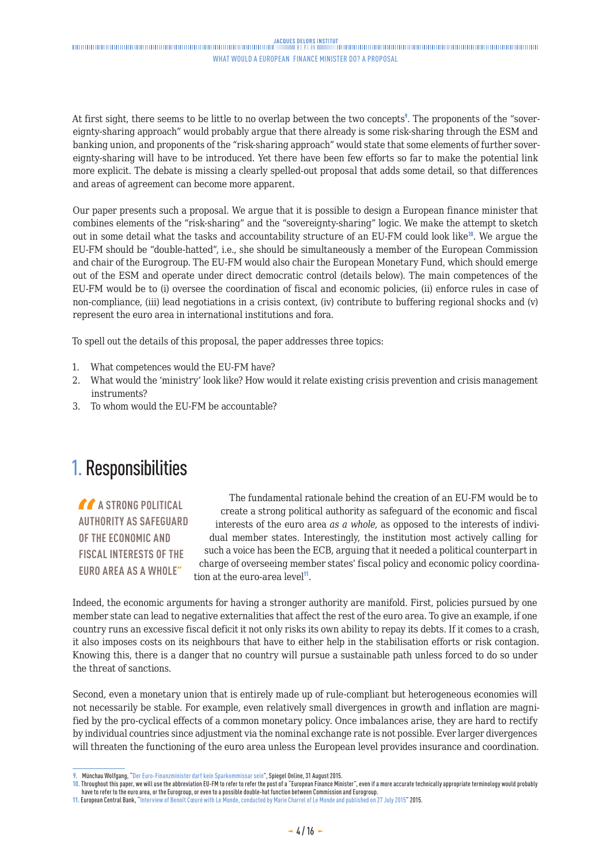<span id="page-3-0"></span>At first sight, there seems to be little to no overlap between the two concepts<sup>9</sup>. The proponents of the "sovereignty-sharing approach" would probably argue that there already is some risk-sharing through the ESM and banking union, and proponents of the "risk-sharing approach" would state that some elements of further sovereignty-sharing will have to be introduced. Yet there have been few efforts so far to make the potential link more explicit. The debate is missing a clearly spelled-out proposal that adds some detail, so that differences and areas of agreement can become more apparent.

Our paper presents such a proposal. We argue that it is possible to design a European finance minister that combines elements of the "risk-sharing" and the "sovereignty-sharing" logic. We make the attempt to sketch out in some detail what the tasks and accountability structure of an EU-FM could look like<sup>10</sup>. We argue the EU-FM should be "double-hatted", i.e., she should be simultaneously a member of the European Commission and chair of the Eurogroup. The EU-FM would also chair the European Monetary Fund, which should emerge out of the ESM and operate under direct democratic control (details below). The main competences of the EU-FM would be to (i) oversee the coordination of fiscal and economic policies, (ii) enforce rules in case of non-compliance, (iii) lead negotiations in a crisis context, (iv) contribute to buffering regional shocks and (v) represent the euro area in international institutions and fora.

To spell out the details of this proposal, the paper addresses three topics:

- 1. What competences would the EU-FM have?
- 2. What would the 'ministry' look like? How would it relate existing crisis prevention and crisis management instruments?
- 3. To whom would the EU-FM be accountable?

### 1. Responsibilities

**A** A STRONG POLITICAL **AUTHORITY AS SAFEGUARD OF THE ECONOMIC AND FISCAL INTERESTS OF THE EURO AREA AS A WHOLE"**

The fundamental rationale behind the creation of an EU-FM would be to create a strong political authority as safeguard of the economic and fiscal interests of the euro area *as a whole*, as opposed to the interests of individual member states. Interestingly, the institution most actively calling for such a voice has been the ECB, arguing that it needed a political counterpart in charge of overseeing member states' fiscal policy and economic policy coordination at the euro-area level<sup>11</sup>.

Indeed, the economic arguments for having a stronger authority are manifold. First, policies pursued by one member state can lead to negative externalities that affect the rest of the euro area. To give an example, if one country runs an excessive fiscal deficit it not only risks its own ability to repay its debts. If it comes to a crash, it also imposes costs on its neighbours that have to either help in the stabilisation efforts or risk contagion. Knowing this, there is a danger that no country will pursue a sustainable path unless forced to do so under the threat of sanctions.

Second, even a monetary union that is entirely made up of rule-compliant but heterogeneous economies will not necessarily be stable. For example, even relatively small divergences in growth and inflation are magnified by the pro-cyclical effects of a common monetary policy. Once imbalances arise, they are hard to rectify by individual countries since adjustment via the nominal exchange rate is not possible. Ever larger divergences will threaten the functioning of the euro area unless the European level provides insurance and coordination.

**<sup>9.</sup>** Münchau Wolfgang, ["Der Euro-Finanzminister darf kein Sparkommissar sein"](http://www.spiegel.de/wirtschaft/unternehmen/euro-die-waehrungsunion-braucht-einen-finanzminister-a-1050662.html), Spiegel Online, 31 August 2015.

**<sup>10.</sup>** Throughout this paper, we will use the abbreviation EU-FM to refer to refer the post of a "European Finance Minister", even if a more accurate technically appropriate terminology would probably have to refer to the euro area, or the Eurogroup, or even to a possible double-hat function between Commission and Eurogroup.

**<sup>11.</sup>** European Central Bank, ["Interview of Benoît Cœuré with Le Monde](https://www.ecb.europa.eu/press/key/date/2015/html/sp150727.en.html), conducted by Marie Charrel of Le Monde and published on 27 July 2015" 2015.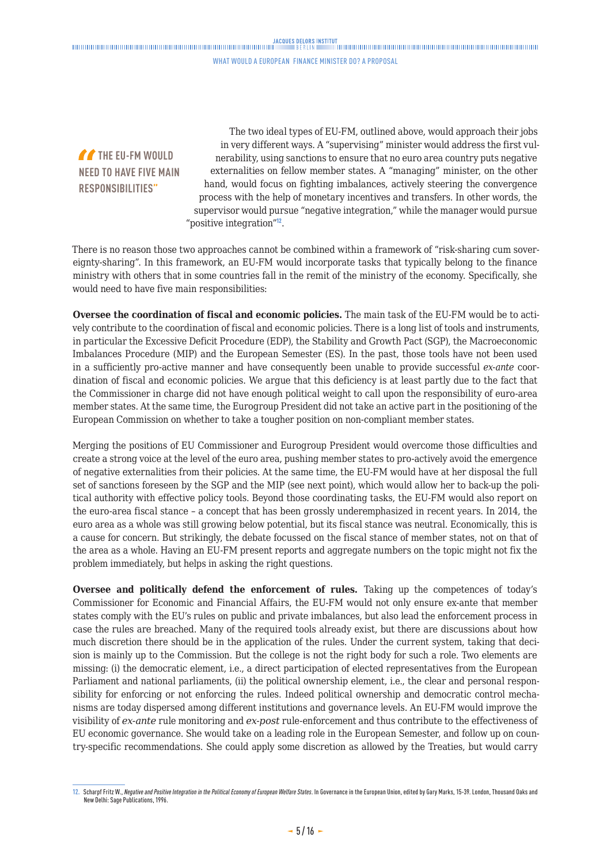### JACOUES DELORS INSTITUT<br>Thinkinghandinghandinghandinghandinghandinghandinghanding and the property of the property of the state of the

#### WHAT WOULD A EUROPEAN FINANCE MINISTER DO? A PROPOSAL

*TA* THE FU-FM WOULD **NEED TO HAVE FIVE MAIN RESPONSIBILITIES"**

The two ideal types of EU-FM, outlined above, would approach their jobs in very different ways. A "supervising" minister would address the first vulnerability, using sanctions to ensure that no euro area country puts negative externalities on fellow member states. A "managing" minister, on the other hand, would focus on fighting imbalances, actively steering the convergence process with the help of monetary incentives and transfers. In other words, the supervisor would pursue "negative integration," while the manager would pursue "positive integration"<sup>12</sup>.

There is no reason those two approaches cannot be combined within a framework of "risk-sharing cum sovereignty-sharing". In this framework, an EU-FM would incorporate tasks that typically belong to the finance ministry with others that in some countries fall in the remit of the ministry of the economy. Specifically, she would need to have five main responsibilities:

**Oversee the coordination of fiscal and economic policies.** The main task of the EU-FM would be to actively contribute to the coordination of fiscal and economic policies. There is a long list of tools and instruments, in particular the Excessive Deficit Procedure (EDP), the Stability and Growth Pact (SGP), the Macroeconomic Imbalances Procedure (MIP) and the European Semester (ES). In the past, those tools have not been used in a sufficiently pro-active manner and have consequently been unable to provide successful *ex-ante* coordination of fiscal and economic policies. We argue that this deficiency is at least partly due to the fact that the Commissioner in charge did not have enough political weight to call upon the responsibility of euro-area member states. At the same time, the Eurogroup President did not take an active part in the positioning of the European Commission on whether to take a tougher position on non-compliant member states.

Merging the positions of EU Commissioner and Eurogroup President would overcome those difficulties and create a strong voice at the level of the euro area, pushing member states to pro-actively avoid the emergence of negative externalities from their policies. At the same time, the EU-FM would have at her disposal the full set of sanctions foreseen by the SGP and the MIP (see next point), which would allow her to back-up the political authority with effective policy tools. Beyond those coordinating tasks, the EU-FM would also report on the euro-area fiscal stance – a concept that has been grossly underemphasized in recent years. In 2014, the euro area as a whole was still growing below potential, but its fiscal stance was neutral. Economically, this is a cause for concern. But strikingly, the debate focussed on the fiscal stance of member states, not on that of the area as a whole. Having an EU-FM present reports and aggregate numbers on the topic might not fix the problem immediately, but helps in asking the right questions.

**Oversee and politically defend the enforcement of rules.** Taking up the competences of today's Commissioner for Economic and Financial Affairs, the EU-FM would not only ensure ex-ante that member states comply with the EU's rules on public and private imbalances, but also lead the enforcement process in case the rules are breached. Many of the required tools already exist, but there are discussions about how much discretion there should be in the application of the rules. Under the current system, taking that decision is mainly up to the Commission. But the college is not the right body for such a role. Two elements are missing: (i) the democratic element, i.e., a direct participation of elected representatives from the European Parliament and national parliaments, (ii) the political ownership element, i.e., the clear and personal responsibility for enforcing or not enforcing the rules. Indeed political ownership and democratic control mechanisms are today dispersed among different institutions and governance levels. An EU-FM would improve the visibility of *ex-ante* rule monitoring and *ex-post* rule-enforcement and thus contribute to the effectiveness of EU economic governance. She would take on a leading role in the European Semester, and follow up on country-specific recommendations. She could apply some discretion as allowed by the Treaties, but would carry

**<sup>12.</sup>** Scharpf Fritz W., *Negative and Positive Integration in the Political Economy of European Welfare States*. In Governance in the European Union, edited by Gary Marks, 15-39. London, Thousand Oaks and New Delhi: Sage Publications, 1996.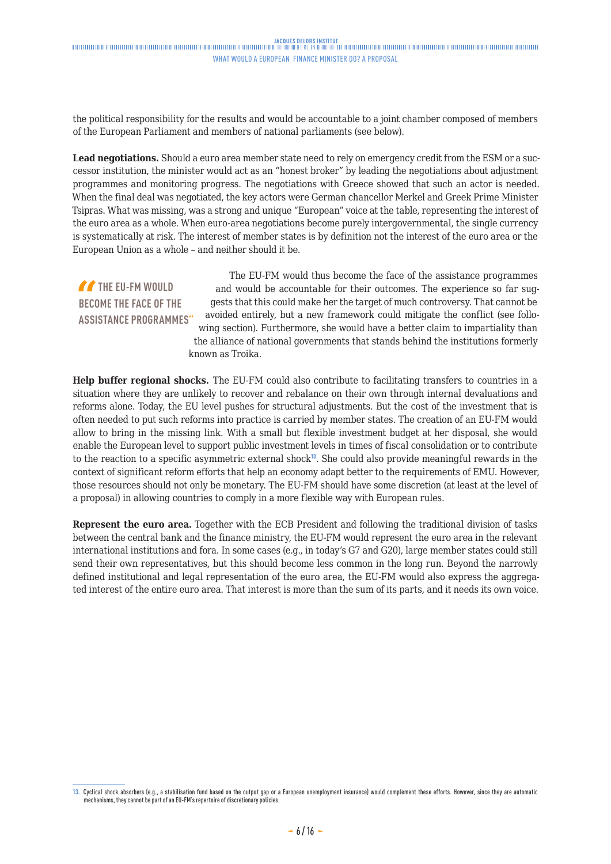the political responsibility for the results and would be accountable to a joint chamber composed of members of the European Parliament and members of national parliaments (see below).

**Lead negotiations.** Should a euro area member state need to rely on emergency credit from the ESM or a successor institution, the minister would act as an "honest broker" by leading the negotiations about adjustment programmes and monitoring progress. The negotiations with Greece showed that such an actor is needed. When the final deal was negotiated, the key actors were German chancellor Merkel and Greek Prime Minister Tsipras. What was missing, was a strong and unique "European" voice at the table, representing the interest of the euro area as a whole. When euro-area negotiations become purely intergovernmental, the single currency is systematically at risk. The interest of member states is by definition not the interest of the euro area or the European Union as a whole – and neither should it be.

**THE EU-FM WOULD BECOME THE FACE OF THE ASSISTANCE PROGRAMMES"** The EU-FM would thus become the face of the assistance programmes and would be accountable for their outcomes. The experience so far suggests that this could make her the target of much controversy. That cannot be avoided entirely, but a new framework could mitigate the conflict (see following section). Furthermore, she would have a better claim to impartiality than the alliance of national governments that stands behind the institutions formerly known as Troika.

**Help buffer regional shocks.** The EU-FM could also contribute to facilitating transfers to countries in a situation where they are unlikely to recover and rebalance on their own through internal devaluations and reforms alone. Today, the EU level pushes for structural adjustments. But the cost of the investment that is often needed to put such reforms into practice is carried by member states. The creation of an EU-FM would allow to bring in the missing link. With a small but flexible investment budget at her disposal, she would enable the European level to support public investment levels in times of fiscal consolidation or to contribute to the reaction to a specific asymmetric external shock<sup>13</sup>. She could also provide meaningful rewards in the context of significant reform efforts that help an economy adapt better to the requirements of EMU. However, those resources should not only be monetary. The EU-FM should have some discretion (at least at the level of a proposal) in allowing countries to comply in a more flexible way with European rules.

**Represent the euro area.** Together with the ECB President and following the traditional division of tasks between the central bank and the finance ministry, the EU-FM would represent the euro area in the relevant international institutions and fora. In some cases (e.g., in today's G7 and G20), large member states could still send their own representatives, but this should become less common in the long run. Beyond the narrowly defined institutional and legal representation of the euro area, the EU-FM would also express the aggregated interest of the entire euro area. That interest is more than the sum of its parts, and it needs its own voice.

**<sup>13.</sup>** Cyclical shock absorbers (e.g., a stabilisation fund based on the output gap or a European unemployment insurance) would complement these efforts. However, since they are automatic mechanisms, they cannot be part of an EU-FM's repertoire of discretionary policies.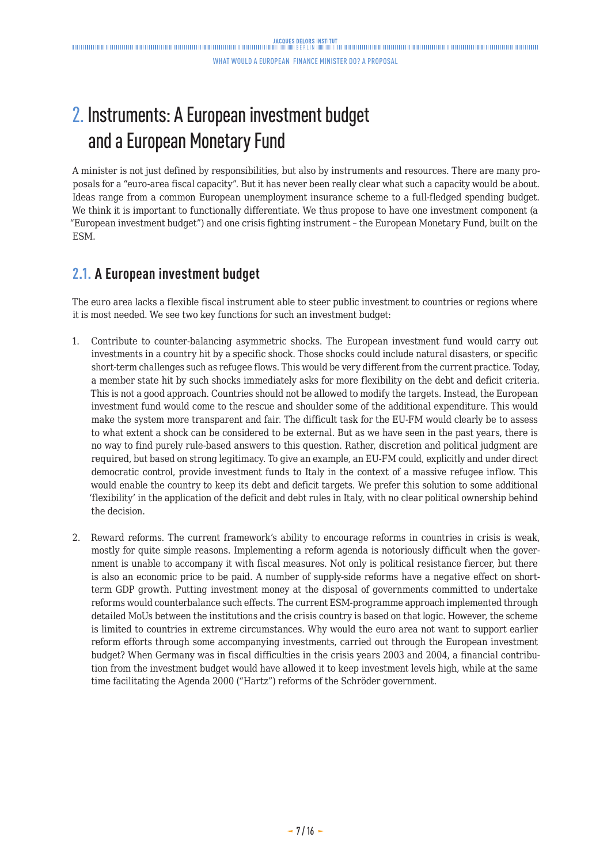## <span id="page-6-0"></span>2. Instruments: A European investment budget and a European Monetary Fund

A minister is not just defined by responsibilities, but also by instruments and resources. There are many proposals for a "euro-area fiscal capacity". But it has never been really clear what such a capacity would be about. Ideas range from a common European unemployment insurance scheme to a full-fledged spending budget. We think it is important to functionally differentiate. We thus propose to have one investment component (a "European investment budget") and one crisis fighting instrument – the European Monetary Fund, built on the ESM.

### **2.1. A European investment budget**

The euro area lacks a flexible fiscal instrument able to steer public investment to countries or regions where it is most needed. We see two key functions for such an investment budget:

- 1. Contribute to counter-balancing asymmetric shocks. The European investment fund would carry out investments in a country hit by a specific shock. Those shocks could include natural disasters, or specific short-term challenges such as refugee flows. This would be very different from the current practice. Today, a member state hit by such shocks immediately asks for more flexibility on the debt and deficit criteria. This is not a good approach. Countries should not be allowed to modify the targets. Instead, the European investment fund would come to the rescue and shoulder some of the additional expenditure. This would make the system more transparent and fair. The difficult task for the EU-FM would clearly be to assess to what extent a shock can be considered to be external. But as we have seen in the past years, there is no way to find purely rule-based answers to this question. Rather, discretion and political judgment are required, but based on strong legitimacy. To give an example, an EU-FM could, explicitly and under direct democratic control, provide investment funds to Italy in the context of a massive refugee inflow. This would enable the country to keep its debt and deficit targets. We prefer this solution to some additional 'flexibility' in the application of the deficit and debt rules in Italy, with no clear political ownership behind the decision.
- 2. Reward reforms. The current framework's ability to encourage reforms in countries in crisis is weak, mostly for quite simple reasons. Implementing a reform agenda is notoriously difficult when the government is unable to accompany it with fiscal measures. Not only is political resistance fiercer, but there is also an economic price to be paid. A number of supply-side reforms have a negative effect on shortterm GDP growth. Putting investment money at the disposal of governments committed to undertake reforms would counterbalance such effects. The current ESM-programme approach implemented through detailed MoUs between the institutions and the crisis country is based on that logic. However, the scheme is limited to countries in extreme circumstances. Why would the euro area not want to support earlier reform efforts through some accompanying investments, carried out through the European investment budget? When Germany was in fiscal difficulties in the crisis years 2003 and 2004, a financial contribution from the investment budget would have allowed it to keep investment levels high, while at the same time facilitating the Agenda 2000 ("Hartz") reforms of the Schröder government.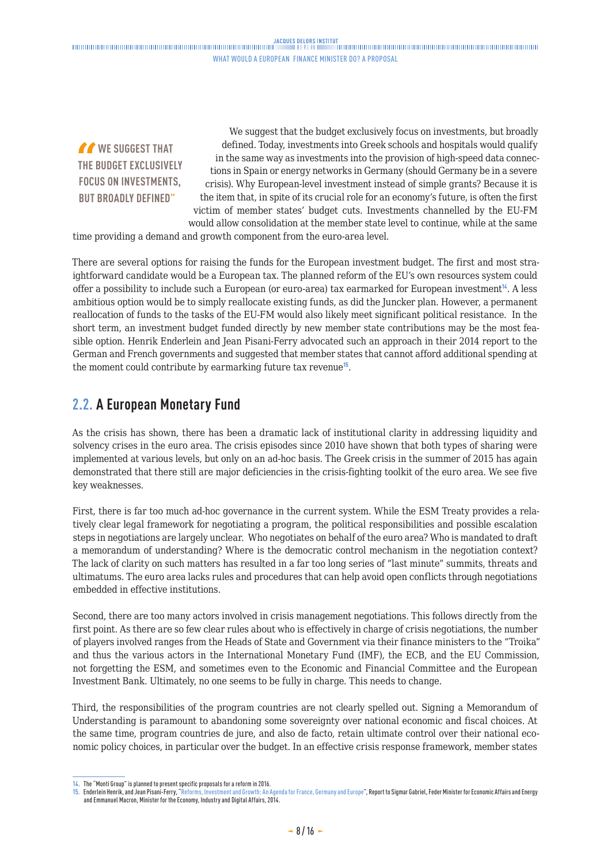<span id="page-7-0"></span>**THAT** WE SUGGEST THAT **THE BUDGET EXCLUSIVELY FOCUS ON INVESTMENTS, BUT BROADLY DEFINED"**

We suggest that the budget exclusively focus on investments, but broadly defined. Today, investments into Greek schools and hospitals would qualify in the same way as investments into the provision of high-speed data connections in Spain or energy networks in Germany (should Germany be in a severe crisis). Why European-level investment instead of simple grants? Because it is the item that, in spite of its crucial role for an economy's future, is often the first victim of member states' budget cuts. Investments channelled by the EU-FM would allow consolidation at the member state level to continue, while at the same

time providing a demand and growth component from the euro-area level.

There are several options for raising the funds for the European investment budget. The first and most straightforward candidate would be a European tax. The planned reform of the EU's own resources system could offer a possibility to include such a European (or euro-area) tax earmarked for European investment<sup>14</sup>. A less ambitious option would be to simply reallocate existing funds, as did the Juncker plan. However, a permanent reallocation of funds to the tasks of the EU-FM would also likely meet significant political resistance. In the short term, an investment budget funded directly by new member state contributions may be the most feasible option. Henrik Enderlein and Jean Pisani-Ferry advocated such an approach in their 2014 report to the German and French governments and suggested that member states that cannot afford additional spending at the moment could contribute by earmarking future tax revenue<sup>15</sup>.

### **2.2. A European Monetary Fund**

As the crisis has shown, there has been a dramatic lack of institutional clarity in addressing liquidity and solvency crises in the euro area. The crisis episodes since 2010 have shown that both types of sharing were implemented at various levels, but only on an ad-hoc basis. The Greek crisis in the summer of 2015 has again demonstrated that there still are major deficiencies in the crisis-fighting toolkit of the euro area. We see five key weaknesses.

First, there is far too much ad-hoc governance in the current system. While the ESM Treaty provides a relatively clear legal framework for negotiating a program, the political responsibilities and possible escalation steps in negotiations are largely unclear. Who negotiates on behalf of the euro area? Who is mandated to draft a memorandum of understanding? Where is the democratic control mechanism in the negotiation context? The lack of clarity on such matters has resulted in a far too long series of "last minute" summits, threats and ultimatums. The euro area lacks rules and procedures that can help avoid open conflicts through negotiations embedded in effective institutions.

Second, there are too many actors involved in crisis management negotiations. This follows directly from the first point. As there are so few clear rules about who is effectively in charge of crisis negotiations, the number of players involved ranges from the Heads of State and Government via their finance ministers to the "Troika" and thus the various actors in the International Monetary Fund (IMF), the ECB, and the EU Commission, not forgetting the ESM, and sometimes even to the Economic and Financial Committee and the European Investment Bank. Ultimately, no one seems to be fully in charge. This needs to change.

Third, the responsibilities of the program countries are not clearly spelled out. Signing a Memorandum of Understanding is paramount to abandoning some sovereignty over national economic and fiscal choices. At the same time, program countries de jure, and also de facto, retain ultimate control over their national economic policy choices, in particular over the budget. In an effective crisis response framework, member states

**<sup>14.</sup>** The "Monti Group" is planned to present specific proposals for a reform in 2016.

**<sup>15.</sup>** Enderlein Henrik, and Jean Pisani-Ferry, "Reforms, [Investment and Growth: An Agenda for France, Germany and Europe](http://www.hertie-school.org/fileadmin/images/Downloads/core_faculty/Henrik_Enderlein/Enderlein_Pisani_Report_EN.pdf)", Report to Sigmar Gabriel, Feder Minister for Economic Affairs and Energy and Emmanuel Macron, Minister for the Economy, Industry and Digital Affairs, 2014.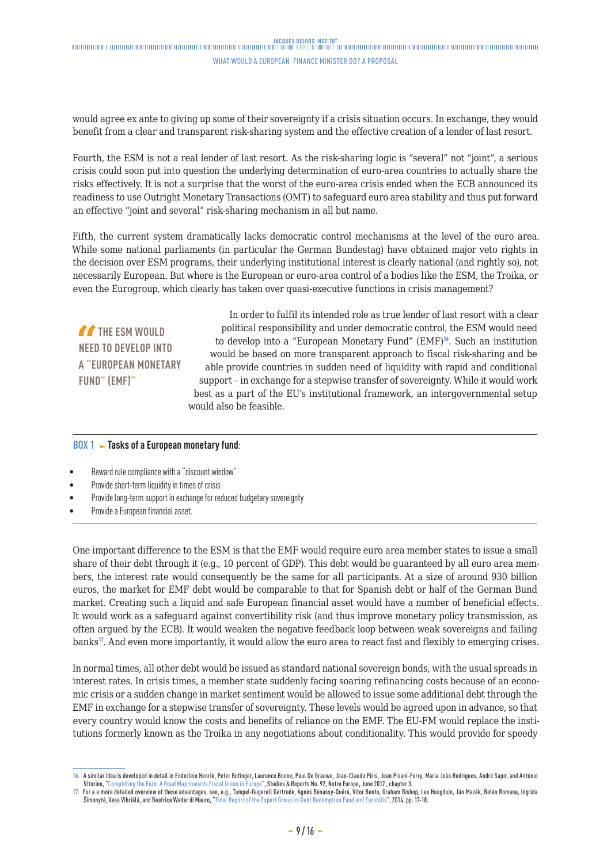### 

#### WHAT WOULD A EUROPEAN FINANCE MINISTER DO? A PROPOSAL

would agree ex ante to giving up some of their sovereignty if a crisis situation occurs. In exchange, they would benefit from a clear and transparent risk-sharing system and the effective creation of a lender of last resort.

Fourth, the ESM is not a real lender of last resort. As the risk-sharing logic is "several" not "joint", a serious crisis could soon put into question the underlying determination of euro-area countries to actually share the risks effectively. It is not a surprise that the worst of the euro-area crisis ended when the ECB announced its readiness to use Outright Monetary Transactions (OMT) to safeguard euro area stability and thus put forward an effective "joint and several" risk-sharing mechanism in all but name.

Fifth, the current system dramatically lacks democratic control mechanisms at the level of the euro area. While some national parliaments (in particular the German Bundestag) have obtained major veto rights in the decision over ESM programs, their underlying institutional interest is clearly national (and rightly so), not necessarily European. But where is the European or euro-area control of a bodies like the ESM, the Troika, or even the Eurogroup, which clearly has taken over quasi-executive functions in crisis management?

**THE ESM WOULD NEED TO DEVELOP INTO A "EUROPEAN MONETARY FUND" (EMF)"**

In order to fulfil its intended role as true lender of last resort with a clear political responsibility and under democratic control, the ESM would need to develop into a "European Monetary Fund" (EMF) $^{16}$ . Such an institution would be based on more transparent approach to fiscal risk-sharing and be able provide countries in sudden need of liquidity with rapid and conditional support – in exchange for a stepwise transfer of sovereignty. While it would work best as a part of the EU's institutional framework, an intergovernmental setup would also be feasible.

### **BOX 1 > Tasks of a European monetary fund:**

- Reward rule compliance with a "discount window"
- Provide short-term liquidity in times of crisis
- Provide long-term support in exchange for reduced budgetary sovereignty
- Provide a European financial asset.

One important difference to the ESM is that the EMF would require euro area member states to issue a small share of their debt through it (e.g., 10 percent of GDP). This debt would be guaranteed by all euro area members, the interest rate would consequently be the same for all participants. At a size of around 930 billion euros, the market for EMF debt would be comparable to that for Spanish debt or half of the German Bund market. Creating such a liquid and safe European financial asset would have a number of beneficial effects. It would work as a safeguard against convertibility risk (and thus improve monetary policy transmission, as often argued by the ECB). It would weaken the negative feedback loop between weak sovereigns and failing banks<sup>17</sup>. And even more importantly, it would allow the euro area to react fast and flexibly to emerging crises.

In normal times, all other debt would be issued as standard national sovereign bonds, with the usual spreads in interest rates. In crisis times, a member state suddenly facing soaring refinancing costs because of an economic crisis or a sudden change in market sentiment would be allowed to issue some additional debt through the EMF in exchange for a stepwise transfer of sovereignty. These levels would be agreed upon in advance, so that every country would know the costs and benefits of reliance on the EMF. The EU-FM would replace the institutions formerly known as the Troika in any negotiations about conditionality. This would provide for speedy

**<sup>16.</sup>** A similar idea is developed in detail in Enderlein Henrik, Peter Bofinger, Laurence Boone, Paul De Grauwe, Jean-Claude Piris, Jean Pisani-Ferry, Maria João Rodrigues, André Sapir, and António Vitorino, ["Completing the Euro. A Road Map towards Fiscal Union in Europe](http://www.delorsinstitute.eu/011-3317-Completing-the-EuroA-road-map-towards-fiscal-union-in-Europe.html)", Studies & Reports No. 92, Notre Europe, June 2012 , chapter 3.

**<sup>17.</sup>** For a a more detailed overview of these advantages, see, e.g., Tumpel-Gugerell Gertrude, Agnès Bénassy-Quéré, Vítor Bento, Graham Bishop, Lex Hoogduin, Ján Mazák, Belén Romana, Ingrida Šimonytė, Vesa Vihriälä, and Beatrice Weder di Mauro, "[Final Report of the Expert Group on Debt Redemption Fund and Eurobills](http://ec.europa.eu/economy_finance/articles/governance/2014-03-31-redemption_fund_and_eurobills_en.htm)", 2014, pp. 17-18.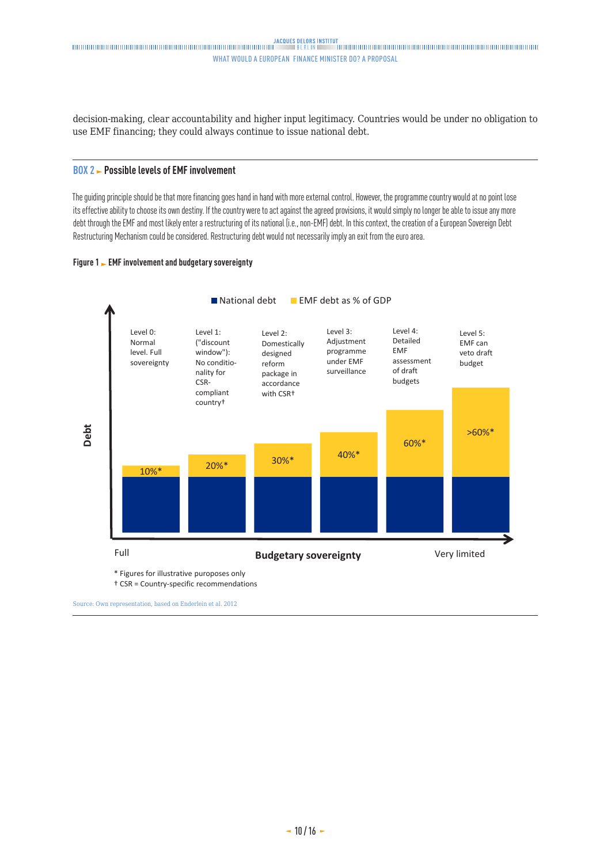decision-making, clear accountability and higher input legitimacy. Countries would be under no obligation to use EMF financing; they could always continue to issue national debt.

### **BOX 2 Possible levels of EMF involvement**

The guiding principle should be that more financing goes hand in hand with more external control. However, the programme country would at no point lose its effective ability to choose its own destiny. If the country were to act against the agreed provisions, it would simply no longer be able to issue any more debt through the EMF and most likely enter a restructuring of its national (i.e., non-EMF) debt. In this context, the creation of a European Sovereign Debt Restructuring Mechanism could be considered. Restructuring debt would not necessarily imply an exit from the euro area.

### **Figure 1 EMF involvement and budgetary sovereignty**



† CSR = Country-specific recommendations

Source: Own representation, based on Enderlein et al. 2012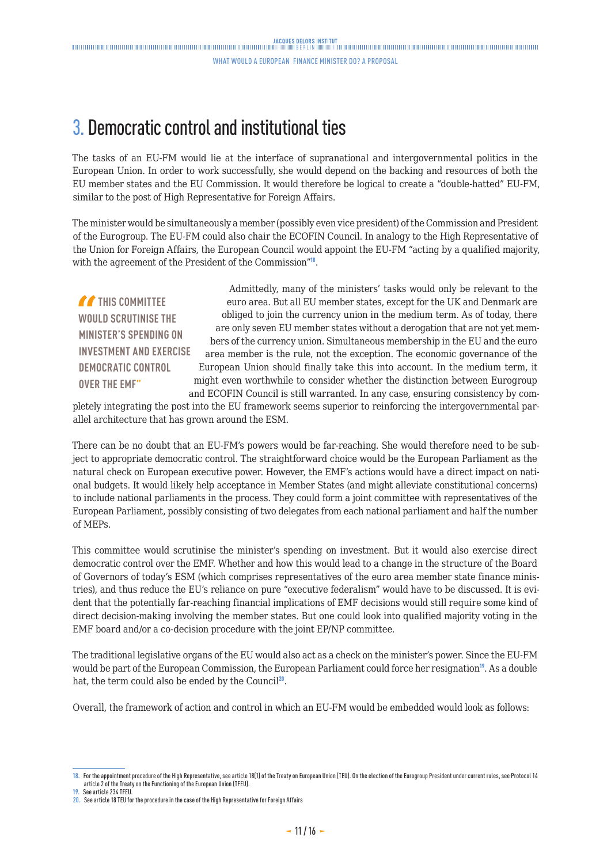### <span id="page-10-0"></span>3. Democratic control and institutional ties

The tasks of an EU-FM would lie at the interface of supranational and intergovernmental politics in the European Union. In order to work successfully, she would depend on the backing and resources of both the EU member states and the EU Commission. It would therefore be logical to create a "double-hatted" EU-FM, similar to the post of High Representative for Foreign Affairs.

The minister would be simultaneously a member (possibly even vice president) of the Commission and President of the Eurogroup. The EU-FM could also chair the ECOFIN Council. In analogy to the High Representative of the Union for Foreign Affairs, the European Council would appoint the EU-FM "acting by a qualified majority, with the agreement of the President of the Commission"<sup>18</sup>.

**THIS COMMITTEE WOULD SCRUTINISE THE MINISTER'S SPENDING ON INVESTMENT AND EXERCISE DEMOCRATIC CONTROL OVER THE EMF"**

Admittedly, many of the ministers' tasks would only be relevant to the euro area. But all EU member states, except for the UK and Denmark are obliged to join the currency union in the medium term. As of today, there are only seven EU member states without a derogation that are not yet members of the currency union. Simultaneous membership in the EU and the euro area member is the rule, not the exception. The economic governance of the European Union should finally take this into account. In the medium term, it might even worthwhile to consider whether the distinction between Eurogroup and ECOFIN Council is still warranted. In any case, ensuring consistency by com-

pletely integrating the post into the EU framework seems superior to reinforcing the intergovernmental parallel architecture that has grown around the ESM.

There can be no doubt that an EU-FM's powers would be far-reaching. She would therefore need to be subject to appropriate democratic control. The straightforward choice would be the European Parliament as the natural check on European executive power. However, the EMF's actions would have a direct impact on national budgets. It would likely help acceptance in Member States (and might alleviate constitutional concerns) to include national parliaments in the process. They could form a joint committee with representatives of the European Parliament, possibly consisting of two delegates from each national parliament and half the number of MEPs.

This committee would scrutinise the minister's spending on investment. But it would also exercise direct democratic control over the EMF. Whether and how this would lead to a change in the structure of the Board of Governors of today's ESM (which comprises representatives of the euro area member state finance ministries), and thus reduce the EU's reliance on pure "executive federalism" would have to be discussed. It is evident that the potentially far-reaching financial implications of EMF decisions would still require some kind of direct decision-making involving the member states. But one could look into qualified majority voting in the EMF board and/or a co-decision procedure with the joint EP/NP committee.

The traditional legislative organs of the EU would also act as a check on the minister's power. Since the EU-FM would be part of the European Commission, the European Parliament could force her resignation<sup>19</sup>. As a double hat, the term could also be ended by the Council<sup>20</sup>.

Overall, the framework of action and control in which an EU-FM would be embedded would look as follows:

**<sup>18.</sup>** For the appointment procedure of the High Representative, see article 18(1) of the Treaty on European Union (TEU). On the election of the Eurogroup President under current rules, see Protocol 14 article 2 of the Treaty on the Functioning of the European Union (TFEU).

**<sup>19.</sup>** See article 234 TFEU.

**<sup>20.</sup>** See article 18 TEU for the procedure in the case of the High Representative for Foreign Affairs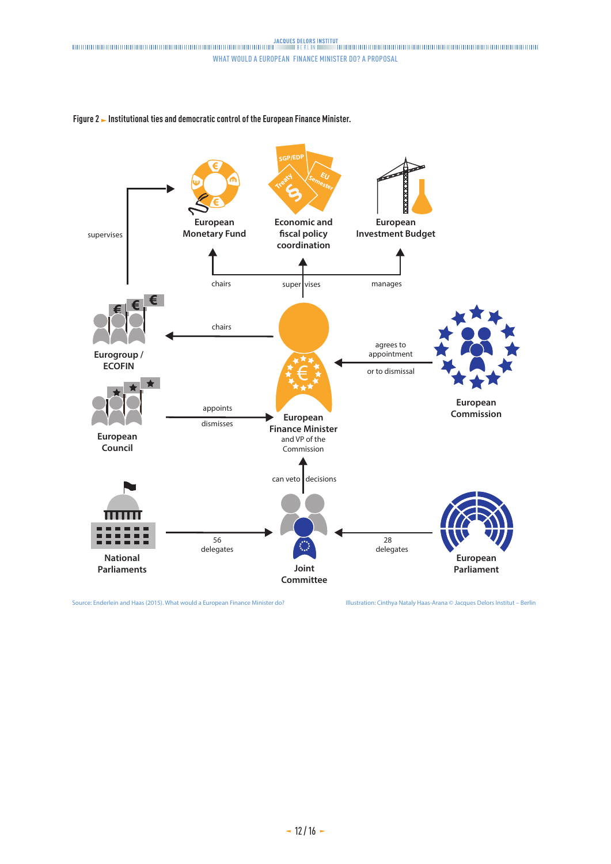



Source: Enderlein and Haas (2015). What would a European Finance Minister do? Illustration: Cinthya Nataly Haas-Arana © Jacques Delors Institut – Berlin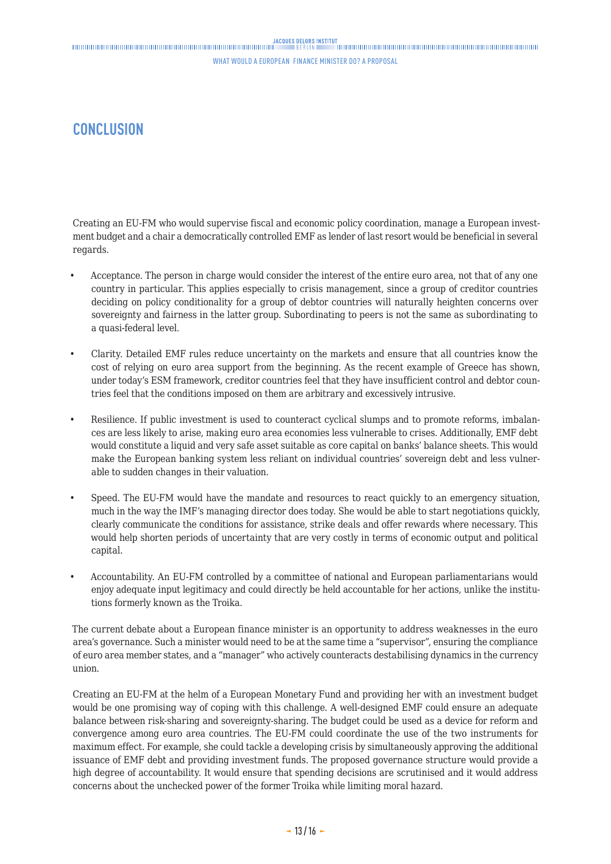### <span id="page-12-0"></span>**CONCLUSION**

Creating an EU-FM who would supervise fiscal and economic policy coordination, manage a European investment budget and a chair a democratically controlled EMF as lender of last resort would be beneficial in several regards.

- Acceptance. The person in charge would consider the interest of the entire euro area, not that of any one country in particular. This applies especially to crisis management, since a group of creditor countries deciding on policy conditionality for a group of debtor countries will naturally heighten concerns over sovereignty and fairness in the latter group. Subordinating to peers is not the same as subordinating to a quasi-federal level.
- Clarity. Detailed EMF rules reduce uncertainty on the markets and ensure that all countries know the cost of relying on euro area support from the beginning. As the recent example of Greece has shown, under today's ESM framework, creditor countries feel that they have insufficient control and debtor countries feel that the conditions imposed on them are arbitrary and excessively intrusive.
- Resilience. If public investment is used to counteract cyclical slumps and to promote reforms, imbalances are less likely to arise, making euro area economies less vulnerable to crises. Additionally, EMF debt would constitute a liquid and very safe asset suitable as core capital on banks' balance sheets. This would make the European banking system less reliant on individual countries' sovereign debt and less vulnerable to sudden changes in their valuation.
- Speed. The EU-FM would have the mandate and resources to react quickly to an emergency situation, much in the way the IMF's managing director does today. She would be able to start negotiations quickly, clearly communicate the conditions for assistance, strike deals and offer rewards where necessary. This would help shorten periods of uncertainty that are very costly in terms of economic output and political capital.
- Accountability. An EU-FM controlled by a committee of national and European parliamentarians would enjoy adequate input legitimacy and could directly be held accountable for her actions, unlike the institutions formerly known as the Troika.

The current debate about a European finance minister is an opportunity to address weaknesses in the euro area's governance. Such a minister would need to be at the same time a "supervisor", ensuring the compliance of euro area member states, and a "manager" who actively counteracts destabilising dynamics in the currency union.

Creating an EU-FM at the helm of a European Monetary Fund and providing her with an investment budget would be one promising way of coping with this challenge. A well-designed EMF could ensure an adequate balance between risk-sharing and sovereignty-sharing. The budget could be used as a device for reform and convergence among euro area countries. The EU-FM could coordinate the use of the two instruments for maximum effect. For example, she could tackle a developing crisis by simultaneously approving the additional issuance of EMF debt and providing investment funds. The proposed governance structure would provide a high degree of accountability. It would ensure that spending decisions are scrutinised and it would address concerns about the unchecked power of the former Troika while limiting moral hazard.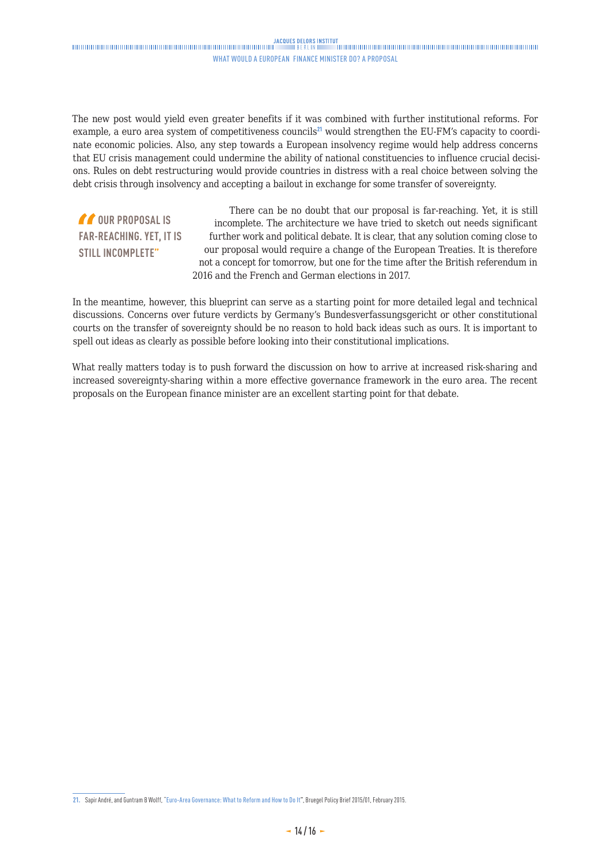The new post would yield even greater benefits if it was combined with further institutional reforms. For example, a euro area system of competitiveness councils<sup>21</sup> would strengthen the EU-FM's capacity to coordinate economic policies. Also, any step towards a European insolvency regime would help address concerns that EU crisis management could undermine the ability of national constituencies to influence crucial decisions. Rules on debt restructuring would provide countries in distress with a real choice between solving the debt crisis through insolvency and accepting a bailout in exchange for some transfer of sovereignty.

*f* OUR PROPOSAL IS **FAR-REACHING. YET, IT IS STILL INCOMPLETE"**

There can be no doubt that our proposal is far-reaching. Yet, it is still incomplete. The architecture we have tried to sketch out needs significant further work and political debate. It is clear, that any solution coming close to our proposal would require a change of the European Treaties. It is therefore not a concept for tomorrow, but one for the time after the British referendum in 2016 and the French and German elections in 2017.

In the meantime, however, this blueprint can serve as a starting point for more detailed legal and technical discussions. Concerns over future verdicts by Germany's Bundesverfassungsgericht or other constitutional courts on the transfer of sovereignty should be no reason to hold back ideas such as ours. It is important to spell out ideas as clearly as possible before looking into their constitutional implications.

What really matters today is to push forward the discussion on how to arrive at increased risk-sharing and increased sovereignty-sharing within a more effective governance framework in the euro area. The recent proposals on the European finance minister are an excellent starting point for that debate.

**<sup>21.</sup>** Sapir André, and Guntram B Wolff, "[Euro-Area Governance: What to Reform and How to Do It"](http://bruegel.org/2015/02/euro-area-governance-what-to-reform-and-how-to-do-it), Bruegel Policy Brief 2015/01, February 2015.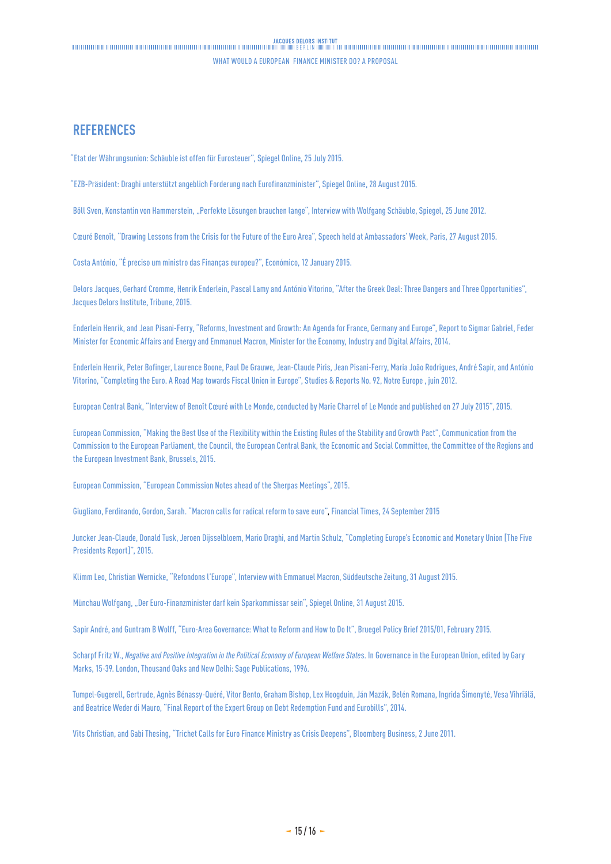### <span id="page-14-0"></span>**REFERENCES**

"[Etat der Währungsunion: Schäuble ist offen für Eurosteuer](http://www.spiegel.de/wirtschaft/soziales/eurozone-soll-finanzminister-und-eurosteuer-bekommen-a-1045206.html  )", Spiegel Online, 25 July 2015.

"[EZB-Präsident: Draghi unterstützt angeblich Forderung nach Eurofinanzminister"](http://www.spiegel.de/wirtschaft/soziales/eurozone-ezb-chef-mario-draghi-fordert-angeblich-euro-finanzminister-a-1050274.html), Spiegel Online, 28 August 2015.

Böll Sven, Konstantin von Hammerstein, "[Perfekte Lösungen brauchen lange]( http://www.spiegel.de/spiegel/finanzminister-schaeuble-ueber-die-geburtsfehler-des-euro-a-840867.html)", Interview with Wolfgang Schäuble, Spiegel, 25 June 2012.

Cœuré Benoît, "[Drawing Lessons from the Crisis for the Future of the Euro Area"](https://www.ecb.europa.eu/press/key/date/2015/html/sp150827.en.html), Speech held at Ambassadors' Week, Paris, 27 August 2015.

Costa António, ["É preciso um ministro das Finanças europeu?](http://economico.sapo.pt/noticias/e-preciso-um-ministro-das-financas-europeu_209679.html.)", Económico, 12 January 2015.

Delors Jacques, Gerhard Cromme, Henrik Enderlein, Pascal Lamy and António Vitorino, ["After the Greek Deal: Three Dangers and Three Opportunities"](http://www.institutdelors.eu/media/afteragreementdelorsenderleinlamyvitorinojdijuly2015.pdf?pdf=ok), Jacques Delors Institute, Tribune, 2015.

Enderlein Henrik, and Jean Pisani-Ferry, "Reforms, [Investment and Growth: An Agenda for France, Germany and Europe](http://www.hertie-school.org/fileadmin/images/Downloads/core_faculty/Henrik_Enderlein/Enderlein_Pisani_Report_EN.pdf. )", Report to Sigmar Gabriel, Feder Minister for Economic Affairs and Energy and Emmanuel Macron, Minister for the Economy, Industry and Digital Affairs, 2014.

Enderlein Henrik, Peter Bofinger, Laurence Boone, Paul De Grauwe, Jean-Claude Piris, Jean Pisani-Ferry, Maria João Rodrigues, André Sapir, and António Vitorino, ["Completing the Euro. A Road Map towards Fiscal Union in Europe"](http://www.delorsinstitute.eu/011-3317-Completing-the-EuroA-road-map-towards-fiscal-union-in-Europe.html. ), Studies & Reports No. 92, Notre Europe , juin 2012.

European Central Bank, "[Interview of Benoît Cœuré with Le Monde, conducted by Marie Charrel of Le Monde and published on 27 July 2015](https://www.ecb.europa.eu/press/key/date/2015/html/sp150727.en.html.)", 2015.

European Commission, ["Making the Best Use of the Flexibility within the Existing Rules of the Stability and Growth Pact](http://eur-lex.europa.eu/legal-content/EN/TXT/?uri=CELEX:52015DC0012)", Communication from the Commission to the European Parliament, the Council, the European Central Bank, the Economic and Social Committee, the Committee of the Regions and the European Investment Bank, Brussels, 2015.

European Commission, ["European Commission Notes ahead of the Sherpas Meetings"]( http://ec.europa.eu/priorities/economic-monetary-union/index_en.htm), 2015.

Giugliano, Ferdinando, Gordon, Sarah. "Macron calls for radical reform to save euro", Financial Times, 24 September 2015

Juncker Jean-Claude, Donald Tusk, Jeroen Dijsselbloem, Mario Draghi, and Martin Schulz, ["Completing Europe's Economic and Monetary Union](http://ec.europa.eu/priorities/economic-monetary-union/docs/5-presidents-report_en.pdf) [The Five Presidents Report]", 2015.

Klimm Leo, Christian Wernicke, "[Refondons l'Europe"](http://international.sueddeutsche.de/post/128026249890/refondons-leurope), Interview with Emmanuel Macron, Süddeutsche Zeitung, 31 August 2015.

Münchau Wolfgang, "[Der Euro-Finanzminister darf kein Sparkommissar sein](http://www.spiegel.de/wirtschaft/unternehmen/euro-die-waehrungsunion-braucht-einen-finanzminister-a-1050662.html)", Spiegel Online, 31 August 2015.

Sapir André, and Guntram B Wolff, ["Euro-Area Governance: What to Reform and How to Do It]( http://bruegel.org/2015/02/euro-area-governance-what-to-reform-and-how-to-do-it)", Bruegel Policy Brief 2015/01, February 2015.

Scharpf Fritz W., *Negative and Positive Integration in the Political Economy of European Welfare States*. In Governance in the European Union, edited by Gary Marks, 15-39. London, Thousand Oaks and New Delhi: Sage Publications, 1996.

Tumpel-Gugerell, Gertrude, Agnès Bénassy-Quéré, Vítor Bento, Graham Bishop, Lex Hoogduin, Ján Mazák, Belén Romana, Ingrida Šimonytė, Vesa Vihriälä, and Beatrice Weder di Mauro, "[Final Report of the Expert Group on Debt Redemption Fund and Eurobills"](http://ec.europa.eu/economy_finance/articles/governance/2014-03-31-redemption_fund_and_eurobills_en.htm. ), 2014.

Vits Christian, and Gabi Thesing, "[Trichet Calls for Euro Finance Ministry as Crisis Deepens"]( http://www.bloomberg.com/news/articles/2011-06-02/trichet-proposes-euro-area-finance-ministry-to-coordinate-fiscal-policies), Bloomberg Business, 2 June 2011.